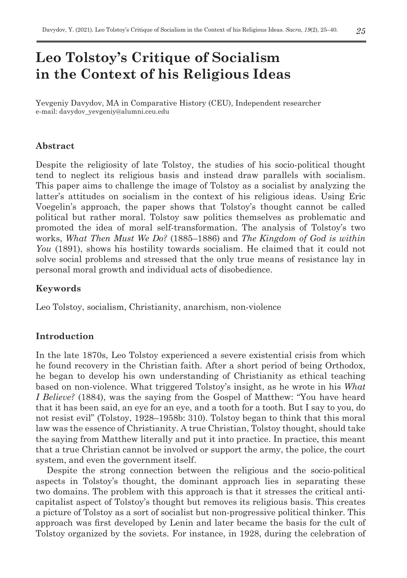# **Leo Tolstoy's Critique of Socialism in the Context of his Religious Ideas**

Yevgeniy Davydov, MA in Comparative History (CEU), Independent researcher e-mail: davydov\_yevgeniy@alumni.ceu.edu

## **Abstract**

Despite the religiosity of late Tolstoy, the studies of his socio-political thought tend to neglect its religious basis and instead draw parallels with socialism. This paper aims to challenge the image of Tolstoy as a socialist by analyzing the latter's attitudes on socialism in the context of his religious ideas. Using Eric Voegelin's approach, the paper shows that Tolstoy's thought cannot be called political but rather moral. Tolstoy saw politics themselves as problematic and promoted the idea of moral self-transformation. The analysis of Tolstoy's two works, *What Then Must We Do?* (1885–1886) and *The Kingdom of God is within You* (1891), shows his hostility towards socialism. He claimed that it could not solve social problems and stressed that the only true means of resistance lay in personal moral growth and individual acts of disobedience.

## **Keywords**

Leo Tolstoy, socialism, Christianity, anarchism, non-violence

# **Introduction**

In the late 1870s, Leo Tolstoy experienced a severe existential crisis from which he found recovery in the Christian faith. After a short period of being Orthodox, he began to develop his own understanding of Christianity as ethical teaching based on non-violence. What triggered Tolstoy's insight, as he wrote in his *What I Believe?* (1884), was the saying from the Gospel of Matthew: "You have heard that it has been said, an eye for an eye, and a tooth for a tooth. But I say to you, do not resist evil" (Tolstoy, 1928–1958b: 310). Tolstoy began to think that this moral law was the essence of Christianity. A true Christian, Tolstoy thought, should take the saying from Matthew literally and put it into practice. In practice, this meant that a true Christian cannot be involved or support the army, the police, the court system, and even the government itself.

Despite the strong connection between the religious and the socio-political aspects in Tolstoy's thought, the dominant approach lies in separating these two domains. The problem with this approach is that it stresses the critical anticapitalist aspect of Tolstoy's thought but removes its religious basis. This creates a picture of Tolstoy as a sort of socialist but non-progressive political thinker. This approach was first developed by Lenin and later became the basis for the cult of Tolstoy organized by the soviets. For instance, in 1928, during the celebration of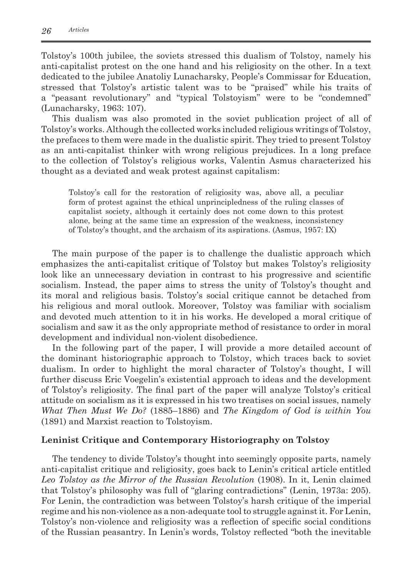Tolstoy's 100th jubilee, the soviets stressed this dualism of Tolstoy, namely his anti-capitalist protest on the one hand and his religiosity on the other. In a text dedicated to the jubilee Anatoliy Lunacharsky, People's Commissar for Education, stressed that Tolstoy's artistic talent was to be "praised" while his traits of a "peasant revolutionary" and "typical Tolstoyism" were to be "condemned" (Lunacharsky, 1963: 107).

This dualism was also promoted in the soviet publication project of all of Tolstoy's works. Although the collected works included religious writings of Tolstoy, the prefaces to them were made in the dualistic spirit. They tried to present Tolstoy as an anti-capitalist thinker with wrong religious prejudices. In a long preface to the collection of Tolstoy's religious works, Valentin Asmus characterized his thought as a deviated and weak protest against capitalism:

Tolstoy's call for the restoration of religiosity was, above all, a peculiar form of protest against the ethical unprincipledness of the ruling classes of capitalist society, although it certainly does not come down to this protest alone, being at the same time an expression of the weakness, inconsistency of Tolstoy's thought, and the archaism of its aspirations. (Asmus, 1957: IX)

The main purpose of the paper is to challenge the dualistic approach which emphasizes the anti-capitalist critique of Tolstoy but makes Tolstoy's religiosity look like an unnecessary deviation in contrast to his progressive and scientific socialism. Instead, the paper aims to stress the unity of Tolstoy's thought and its moral and religious basis. Tolstoy's social critique cannot be detached from his religious and moral outlook. Moreover, Tolstoy was familiar with socialism and devoted much attention to it in his works. He developed a moral critique of socialism and saw it as the only appropriate method of resistance to order in moral development and individual non-violent disobedience.

In the following part of the paper, I will provide a more detailed account of the dominant historiographic approach to Tolstoy, which traces back to soviet dualism. In order to highlight the moral character of Tolstoy's thought, I will further discuss Eric Voegelin's existential approach to ideas and the development of Tolstoy's religiosity. The final part of the paper will analyze Tolstoy's critical attitude on socialism as it is expressed in his two treatises on social issues, namely *What Then Must We Do?* (1885–1886) and *The Kingdom of God is within You* (1891) and Marxist reaction to Tolstoyism.

## **Leninist Critique and Contemporary Historiography on Tolstoy**

The tendency to divide Tolstoy's thought into seemingly opposite parts, namely anti-capitalist critique and religiosity, goes back to Lenin's critical article entitled *Leo Tolstoy as the Mirror of the Russian Revolution* (1908). In it, Lenin claimed that Tolstoy's philosophy was full of "glaring contradictions" (Lenin, 1973a: 205). For Lenin, the contradiction was between Tolstoy's harsh critique of the imperial regime and his non-violence as a non-adequate tool to struggle against it. For Lenin, Tolstoy's non-violence and religiosity was a reflection of specific social conditions of the Russian peasantry. In Lenin's words, Tolstoy reflected "both the inevitable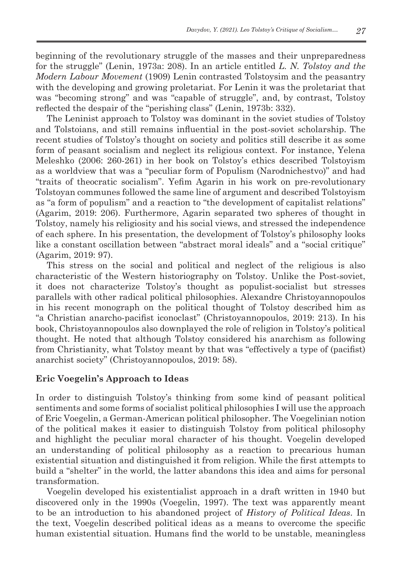beginning of the revolutionary struggle of the masses and their unpreparedness for the struggle" (Lenin, 1973a: 208). In an article entitled *L. N. Tolstoy and the Modern Labour Movement* (1909) Lenin contrasted Tolstoysim and the peasantry with the developing and growing proletariat. For Lenin it was the proletariat that was "becoming strong" and was "capable of struggle", and, by contrast, Tolstoy reflected the despair of the "perishing class" (Lenin, 1973b: 332).

The Leninist approach to Tolstoy was dominant in the soviet studies of Tolstoy and Tolstoians, and still remains influential in the post-soviet scholarship. The recent studies of Tolstoy's thought on society and politics still describe it as some form of peasant socialism and neglect its religious context. For instance, Yelena Meleshko (2006: 260-261) in her book on Tolstoy's ethics described Tolstoyism as a worldview that was a "peculiar form of Populism (Narodnichestvo)" and had "traits of theocratic socialism". Yefim Agarin in his work on pre-revolutionary Tolstoyan communes followed the same line of argument and described Tolstoyism as "a form of populism" and a reaction to "the development of capitalist relations" (Agarim, 2019: 206). Furthermore, Agarin separated two spheres of thought in Tolstoy, namely his religiosity and his social views, and stressed the independence of each sphere. In his presentation, the development of Tolstoy's philosophy looks like a constant oscillation between "abstract moral ideals" and a "social critique" (Agarim, 2019: 97).

This stress on the social and political and neglect of the religious is also characteristic of the Western historiography on Tolstoy. Unlike the Post-soviet, it does not characterize Tolstoy's thought as populist-socialist but stresses parallels with other radical political philosophies. Alexandre Christoyannopoulos in his recent monograph on the political thought of Tolstoy described him as "a Christian anarcho-pacifist iconoclast" (Christoyannopoulos, 2019: 213). In his book, Christoyannopoulos also downplayed the role of religion in Tolstoy's political thought. He noted that although Tolstoy considered his anarchism as following from Christianity, what Tolstoy meant by that was "effectively a type of (pacifist) anarchist society" (Christoyannopoulos, 2019: 58).

## **Eric Voegelin's Approach to Ideas**

In order to distinguish Tolstoy's thinking from some kind of peasant political sentiments and some forms of socialist political philosophies I will use the approach of Eric Voegelin, a German-American political philosopher. The Voegelinian notion of the political makes it easier to distinguish Tolstoy from political philosophy and highlight the peculiar moral character of his thought. Voegelin developed an understanding of political philosophy as a reaction to precarious human existential situation and distinguished it from religion. While the first attempts to build a "shelter" in the world, the latter abandons this idea and aims for personal transformation.

Voegelin developed his existentialist approach in a draft written in 1940 but discovered only in the 1990s (Voegelin, 1997). The text was apparently meant to be an introduction to his abandoned project of *History of Political Ideas*. In the text, Voegelin described political ideas as a means to overcome the specific human existential situation. Humans find the world to be unstable, meaningless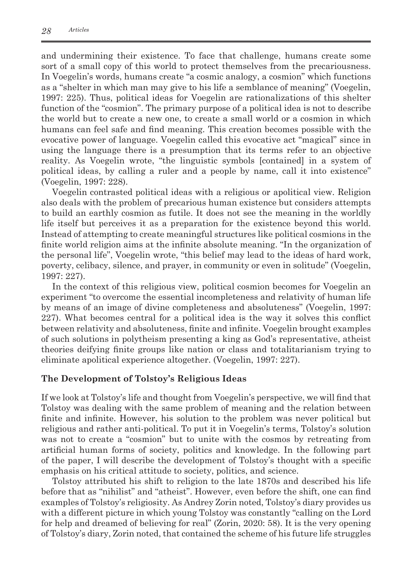and undermining their existence. To face that challenge, humans create some sort of a small copy of this world to protect themselves from the precariousness. In Voegelin's words, humans create "a cosmic analogy, a cosmion" which functions as a "shelter in which man may give to his life a semblance of meaning" (Voegelin, 1997: 225). Thus, political ideas for Voegelin are rationalizations of this shelter function of the "cosmion". The primary purpose of a political idea is not to describe the world but to create a new one, to create a small world or a cosmion in which humans can feel safe and find meaning. This creation becomes possible with the evocative power of language. Voegelin called this evocative act "magical" since in using the language there is a presumption that its terms refer to an objective reality. As Voegelin wrote, "the linguistic symbols [contained] in a system of political ideas, by calling a ruler and a people by name, call it into existence" (Voegelin, 1997: 228).

Voegelin contrasted political ideas with a religious or apolitical view. Religion also deals with the problem of precarious human existence but considers attempts to build an earthly cosmion as futile. It does not see the meaning in the worldly life itself but perceives it as a preparation for the existence beyond this world. Instead of attempting to create meaningful structures like political cosmions in the finite world religion aims at the infinite absolute meaning. "In the organization of the personal life", Voegelin wrote, "this belief may lead to the ideas of hard work, poverty, celibacy, silence, and prayer, in community or even in solitude" (Voegelin, 1997: 227).

In the context of this religious view, political cosmion becomes for Voegelin an experiment "to overcome the essential incompleteness and relativity of human life by means of an image of divine completeness and absoluteness" (Voegelin, 1997: 227). What becomes central for a political idea is the way it solves this conflict between relativity and absoluteness, finite and infinite. Voegelin brought examples of such solutions in polytheism presenting a king as God's representative, atheist theories deifying finite groups like nation or class and totalitarianism trying to eliminate apolitical experience altogether. (Voegelin, 1997: 227).

## **The Development of Tolstoy's Religious Ideas**

If we look at Tolstoy's life and thought from Voegelin's perspective, we will find that Tolstoy was dealing with the same problem of meaning and the relation between finite and infinite. However, his solution to the problem was never political but religious and rather anti-political. To put it in Voegelin's terms, Tolstoy's solution was not to create a "cosmion" but to unite with the cosmos by retreating from artificial human forms of society, politics and knowledge. In the following part of the paper, I will describe the development of Tolstoy's thought with a specific emphasis on his critical attitude to society, politics, and science.

Tolstoy attributed his shift to religion to the late 1870s and described his life before that as "nihilist" and "atheist". However, even before the shift, one can find examples of Tolstoy's religiosity. As Andrey Zorin noted, Tolstoy's diary provides us with a different picture in which young Tolstoy was constantly "calling on the Lord for help and dreamed of believing for real" (Zorin, 2020: 58). It is the very opening of Tolstoy's diary, Zorin noted, that contained the scheme of his future life struggles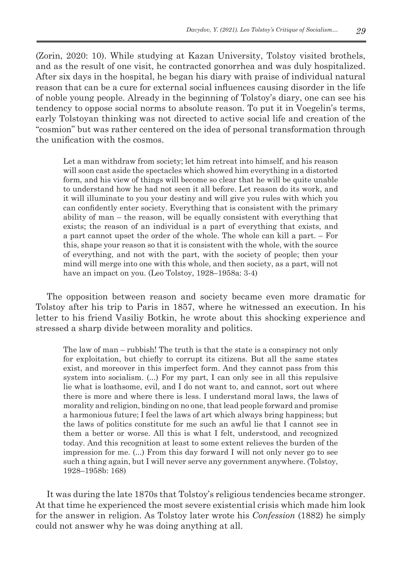(Zorin, 2020: 10). While studying at Kazan University, Tolstoy visited brothels, and as the result of one visit, he contracted gonorrhea and was duly hospitalized. After six days in the hospital, he began his diary with praise of individual natural reason that can be a cure for external social influences causing disorder in the life of noble young people. Already in the beginning of Tolstoy's diary, one can see his tendency to oppose social norms to absolute reason. To put it in Voegelin's terms, early Tolstoyan thinking was not directed to active social life and creation of the "cosmion" but was rather centered on the idea of personal transformation through the unification with the cosmos.

Let a man withdraw from society; let him retreat into himself, and his reason will soon cast aside the spectacles which showed him everything in a distorted form, and his view of things will become so clear that he will be quite unable to understand how he had not seen it all before. Let reason do its work, and it will illuminate to you your destiny and will give you rules with which you can confidently enter society. Everything that is consistent with the primary ability of man – the reason, will be equally consistent with everything that exists; the reason of an individual is a part of everything that exists, and a part cannot upset the order of the whole. The whole can kill a part. – For this, shape your reason so that it is consistent with the whole, with the source of everything, and not with the part, with the society of people; then your mind will merge into one with this whole, and then society, as a part, will not have an impact on you. (Leo Tolstoy, 1928–1958a: 3-4)

The opposition between reason and society became even more dramatic for Tolstoy after his trip to Paris in 1857, where he witnessed an execution. In his letter to his friend Vasiliy Botkin, he wrote about this shocking experience and stressed a sharp divide between morality and politics.

The law of man – rubbish! The truth is that the state is a conspiracy not only for exploitation, but chiefly to corrupt its citizens. But all the same states exist, and moreover in this imperfect form. And they cannot pass from this system into socialism. (...) For my part, I can only see in all this repulsive lie what is loathsome, evil, and I do not want to, and cannot, sort out where there is more and where there is less. I understand moral laws, the laws of morality and religion, binding on no one, that lead people forward and promise a harmonious future; I feel the laws of art which always bring happiness; but the laws of politics constitute for me such an awful lie that I cannot see in them a better or worse. All this is what I felt, understood, and recognized today. And this recognition at least to some extent relieves the burden of the impression for me. (...) From this day forward I will not only never go to see such a thing again, but I will never serve any government anywhere. (Tolstoy, 1928–1958b: 168)

It was during the late 1870s that Tolstoy's religious tendencies became stronger. At that time he experienced the most severe existential crisis which made him look for the answer in religion. As Tolstoy later wrote his *Confession* (1882) he simply could not answer why he was doing anything at all.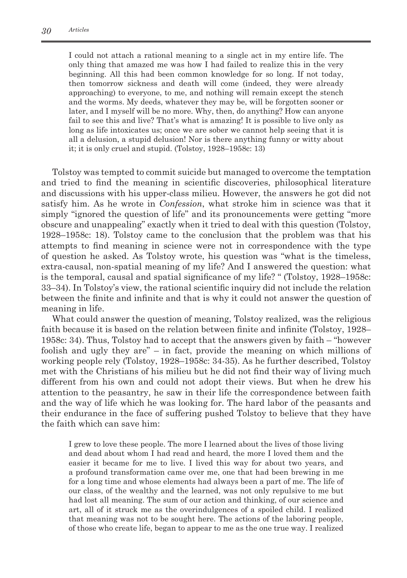I could not attach a rational meaning to a single act in my entire life. The only thing that amazed me was how I had failed to realize this in the very beginning. All this had been common knowledge for so long. If not today, then tomorrow sickness and death will come (indeed, they were already approaching) to everyone, to me, and nothing will remain except the stench and the worms. My deeds, whatever they may be, will be forgotten sooner or later, and I myself will be no more. Why, then, do anything? How can anyone fail to see this and live? That's what is amazing! It is possible to live only as long as life intoxicates us; once we are sober we cannot help seeing that it is all a delusion, a stupid delusion! Nor is there anything funny or witty about it; it is only cruel and stupid. (Tolstoy, 1928–1958c: 13)

Tolstoy was tempted to commit suicide but managed to overcome the temptation and tried to find the meaning in scientific discoveries, philosophical literature and discussions with his upper-class milieu. However, the answers he got did not satisfy him. As he wrote in *Confession*, what stroke him in science was that it simply "ignored the question of life" and its pronouncements were getting "more obscure and unappealing" exactly when it tried to deal with this question (Tolstoy, 1928–1958c: 18). Tolstoy came to the conclusion that the problem was that his attempts to find meaning in science were not in correspondence with the type of question he asked. As Tolstoy wrote, his question was "what is the timeless, extra-causal, non-spatial meaning of my life? And I answered the question: what is the temporal, causal and spatial significance of my life? " (Tolstoy, 1928–1958c: 33–34). In Tolstoy's view, the rational scientific inquiry did not include the relation between the finite and infinite and that is why it could not answer the question of meaning in life.

What could answer the question of meaning, Tolstoy realized, was the religious faith because it is based on the relation between finite and infinite (Tolstoy, 1928– 1958c: 34). Thus, Tolstoy had to accept that the answers given by faith – "however foolish and ugly they are" – in fact, provide the meaning on which millions of working people rely (Tolstoy, 1928–1958c: 34-35). As he further described, Tolstoy met with the Christians of his milieu but he did not find their way of living much different from his own and could not adopt their views. But when he drew his attention to the peasantry, he saw in their life the correspondence between faith and the way of life which he was looking for. The hard labor of the peasants and their endurance in the face of suffering pushed Tolstoy to believe that they have the faith which can save him:

I grew to love these people. The more I learned about the lives of those living and dead about whom I had read and heard, the more I loved them and the easier it became for me to live. I lived this way for about two years, and a profound transformation came over me, one that had been brewing in me for a long time and whose elements had always been a part of me. The life of our class, of the wealthy and the learned, was not only repulsive to me but had lost all meaning. The sum of our action and thinking, of our science and art, all of it struck me as the overindulgences of a spoiled child. I realized that meaning was not to be sought here. The actions of the laboring people, of those who create life, began to appear to me as the one true way. I realized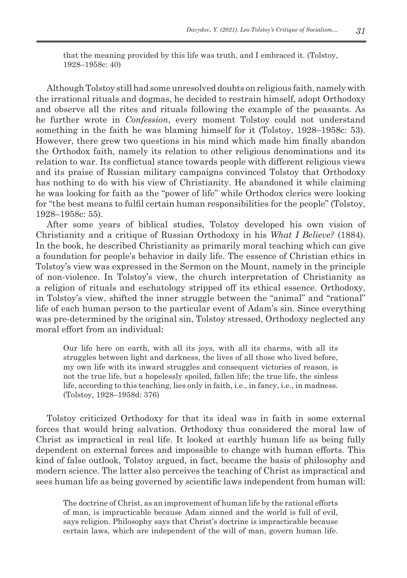that the meaning provided by this life was truth, and I embraced it. (Tolstoy, 1928–1958c: 40)

Although Tolstoy still had some unresolved doubts on religious faith, namely with the irrational rituals and dogmas, he decided to restrain himself, adopt Orthodoxy and observe all the rites and rituals following the example of the peasants. As he further wrote in *Confession*, every moment Tolstoy could not understand something in the faith he was blaming himself for it (Tolstoy, 1928–1958c: 53). However, there grew two questions in his mind which made him finally abandon the Orthodox faith, namely its relation to other religious denominations and its relation to war. Its conflictual stance towards people with different religious views and its praise of Russian military campaigns convinced Tolstoy that Orthodoxy has nothing to do with his view of Christianity. He abandoned it while claiming he was looking for faith as the "power of life" while Orthodox clerics were looking for "the best means to fulfil certain human responsibilities for the people" (Tolstoy, 1928–1958c: 55).

After some years of biblical studies, Tolstoy developed his own vision of Christianity and a critique of Russian Orthodoxy in his *What I Believe?* (1884). In the book, he described Christianity as primarily moral teaching which can give a foundation for people's behavior in daily life. The essence of Christian ethics in Tolstoy's view was expressed in the Sermon on the Mount, namely in the principle of non-violence. In Tolstoy's view, the church interpretation of Christianity as a religion of rituals and eschatology stripped off its ethical essence. Orthodoxy, in Tolstoy's view, shifted the inner struggle between the "animal" and "rational" life of each human person to the particular event of Adam's sin. Since everything was pre-determined by the original sin, Tolstoy stressed, Orthodoxy neglected any moral effort from an individual:

Our life here on earth, with all its joys, with all its charms, with all its struggles between light and darkness, the lives of all those who lived before, my own life with its inward struggles and consequent victories of reason, is not the true life, but a hopelessly spoiled, fallen life; the true life, the sinless life, according to this teaching, lies only in faith, i.e., in fancy, i.e., in madness. (Tolstoy, 1928–1958d: 376)

Tolstoy criticized Orthodoxy for that its ideal was in faith in some external forces that would bring salvation. Orthodoxy thus considered the moral law of Christ as impractical in real life. It looked at earthly human life as being fully dependent on external forces and impossible to change with human efforts. This kind of false outlook, Tolstoy argued, in fact, became the basis of philosophy and modern science. The latter also perceives the teaching of Christ as impractical and sees human life as being governed by scientific laws independent from human will:

The doctrine of Christ, as an improvement of human life by the rational efforts of man, is impracticable because Adam sinned and the world is full of evil, says religion. Philosophy says that Christ's doctrine is impracticable because certain laws, which are independent of the will of man, govern human life.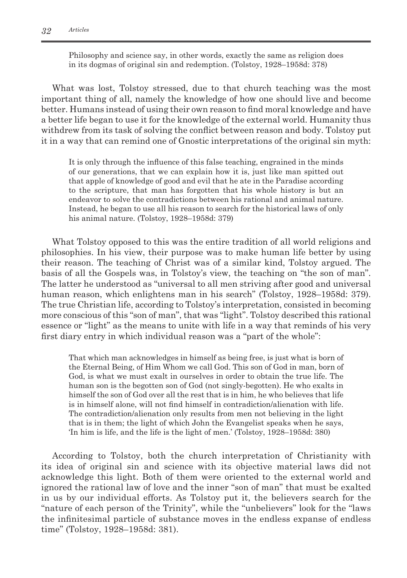Philosophy and science say, in other words, exactly the same as religion does in its dogmas of original sin and redemption. (Tolstoy, 1928–1958d: 378)

What was lost, Tolstoy stressed, due to that church teaching was the most important thing of all, namely the knowledge of how one should live and become better. Humans instead of using their own reason to find moral knowledge and have a better life began to use it for the knowledge of the external world. Humanity thus withdrew from its task of solving the conflict between reason and body. Tolstoy put it in a way that can remind one of Gnostic interpretations of the original sin myth:

It is only through the influence of this false teaching, engrained in the minds of our generations, that we can explain how it is, just like man spitted out that apple of knowledge of good and evil that he ate in the Paradise according to the scripture, that man has forgotten that his whole history is but an endeavor to solve the contradictions between his rational and animal nature. Instead, he began to use all his reason to search for the historical laws of only his animal nature. (Tolstoy, 1928–1958d: 379)

What Tolstoy opposed to this was the entire tradition of all world religions and philosophies. In his view, their purpose was to make human life better by using their reason. The teaching of Christ was of a similar kind, Tolstoy argued. The basis of all the Gospels was, in Tolstoy's view, the teaching on "the son of man". The latter he understood as "universal to all men striving after good and universal human reason, which enlightens man in his search" (Tolstoy, 1928–1958d: 379). The true Christian life, according to Tolstoy's interpretation, consisted in becoming more conscious of this "son of man", that was "light". Tolstoy described this rational essence or "light" as the means to unite with life in a way that reminds of his very first diary entry in which individual reason was a "part of the whole":

That which man acknowledges in himself as being free, is just what is born of the Eternal Being, of Him Whom we call God. This son of God in man, born of God, is what we must exalt in ourselves in order to obtain the true life. The human son is the begotten son of God (not singly-begotten). He who exalts in himself the son of God over all the rest that is in him, he who believes that life is in himself alone, will not find himself in contradiction/alienation with life. The contradiction/alienation only results from men not believing in the light that is in them; the light of which John the Evangelist speaks when he says, 'In him is life, and the life is the light of men.' (Tolstoy, 1928–1958d: 380)

According to Tolstoy, both the church interpretation of Christianity with its idea of original sin and science with its objective material laws did not acknowledge this light. Both of them were oriented to the external world and ignored the rational law of love and the inner "son of man" that must be exalted in us by our individual efforts. As Tolstoy put it, the believers search for the "nature of each person of the Trinity", while the "unbelievers" look for the "laws the infinitesimal particle of substance moves in the endless expanse of endless time" (Tolstoy, 1928–1958d: 381).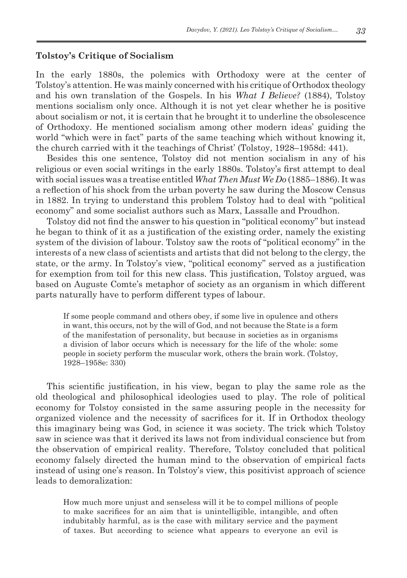## **Tolstoy's Critique of Socialism**

In the early 1880s, the polemics with Orthodoxy were at the center of Tolstoy's attention. He was mainly concerned with his critique of Orthodox theology and his own translation of the Gospels. In his *What I Believe?* (1884), Tolstoy mentions socialism only once. Although it is not yet clear whether he is positive about socialism or not, it is certain that he brought it to underline the obsolescence of Orthodoxy. He mentioned socialism among other modern ideas' guiding the world "which were in fact" parts of the same teaching which without knowing it, the church carried with it the teachings of Christ' (Tolstoy, 1928–1958d: 441).

Besides this one sentence, Tolstoy did not mention socialism in any of his religious or even social writings in the early 1880s. Tolstoy's first attempt to deal with social issues was a treatise entitled *What Then Must We Do* (1885–1886). It was a reflection of his shock from the urban poverty he saw during the Moscow Census in 1882. In trying to understand this problem Tolstoy had to deal with "political economy" and some socialist authors such as Marx, Lassalle and Proudhon.

Tolstoy did not find the answer to his question in "political economy" but instead he began to think of it as a justification of the existing order, namely the existing system of the division of labour. Tolstoy saw the roots of "political economy" in the interests of a new class of scientists and artists that did not belong to the clergy, the state, or the army. In Tolstoy's view, "political economy" served as a justification for exemption from toil for this new class. This justification, Tolstoy argued, was based on Auguste Comte's metaphor of society as an organism in which different parts naturally have to perform different types of labour.

If some people command and others obey, if some live in opulence and others in want, this occurs, not by the will of God, and not because the State is a form of the manifestation of personality, but because in societies as in organisms a division of labor occurs which is necessary for the life of the whole: some people in society perform the muscular work, others the brain work. (Tolstoy, 1928–1958e: 330)

This scientific justification, in his view, began to play the same role as the old theological and philosophical ideologies used to play. The role of political economy for Tolstoy consisted in the same assuring people in the necessity for organized violence and the necessity of sacrifices for it. If in Orthodox theology this imaginary being was God, in science it was society. The trick which Tolstoy saw in science was that it derived its laws not from individual conscience but from the observation of empirical reality. Therefore, Tolstoy concluded that political economy falsely directed the human mind to the observation of empirical facts instead of using one's reason. In Tolstoy's view, this positivist approach of science leads to demoralization:

How much more unjust and senseless will it be to compel millions of people to make sacrifices for an aim that is unintelligible, intangible, and often indubitably harmful, as is the case with military service and the payment of taxes. But according to science what appears to everyone an evil is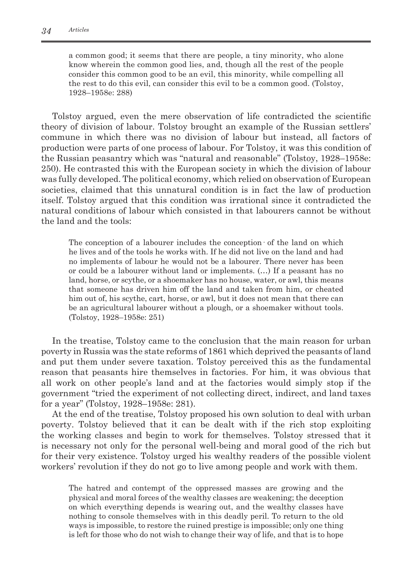a common good; it seems that there are people, a tiny minority, who alone know wherein the common good lies, and, though all the rest of the people consider this common good to be an evil, this minority, while compelling all the rest to do this evil, can consider this evil to be a common good. (Tolstoy, 1928–1958e: 288)

Tolstoy argued, even the mere observation of life contradicted the scientific theory of division of labour. Tolstoy brought an example of the Russian settlers' commune in which there was no division of labour but instead, all factors of production were parts of one process of labour. For Tolstoy, it was this condition of the Russian peasantry which was "natural and reasonable" (Tolstoy, 1928–1958e: 250). He contrasted this with the European society in which the division of labour was fully developed. The political economy, which relied on observation of European societies, claimed that this unnatural condition is in fact the law of production itself. Tolstoy argued that this condition was irrational since it contradicted the natural conditions of labour which consisted in that labourers cannot be without the land and the tools:

The conception of a labourer includes the conception· of the land on which he lives and of the tools he works with. If he did not live on the land and had no implements of labour he would not be a labourer. There never has been or could be a labourer without land or implements. (…) If a peasant has no land, horse, or scythe, or a shoemaker has no house, water, or awl, this means that someone has driven him off the land and taken from him, or cheated him out of, his scythe, cart, horse, or awl, but it does not mean that there can be an agricultural labourer without a plough, or a shoemaker without tools. (Tolstoy, 1928–1958e: 251)

In the treatise, Tolstoy came to the conclusion that the main reason for urban poverty in Russia was the state reforms of 1861 which deprived the peasants of land and put them under severe taxation. Tolstoy perceived this as the fundamental reason that peasants hire themselves in factories. For him, it was obvious that all work on other people's land and at the factories would simply stop if the government "tried the experiment of not collecting direct, indirect, and land taxes for a year" (Tolstoy, 1928–1958e: 281).

At the end of the treatise, Tolstoy proposed his own solution to deal with urban poverty. Tolstoy believed that it can be dealt with if the rich stop exploiting the working classes and begin to work for themselves. Tolstoy stressed that it is necessary not only for the personal well-being and moral good of the rich but for their very existence. Tolstoy urged his wealthy readers of the possible violent workers' revolution if they do not go to live among people and work with them.

The hatred and contempt of the oppressed masses are growing and the physical and moral forces of the wealthy classes are weakening; the deception on which everything depends is wearing out, and the wealthy classes have nothing to console themselves with in this deadly peril. To return to the old ways is impossible, to restore the ruined prestige is impossible; only one thing is left for those who do not wish to change their way of life, and that is to hope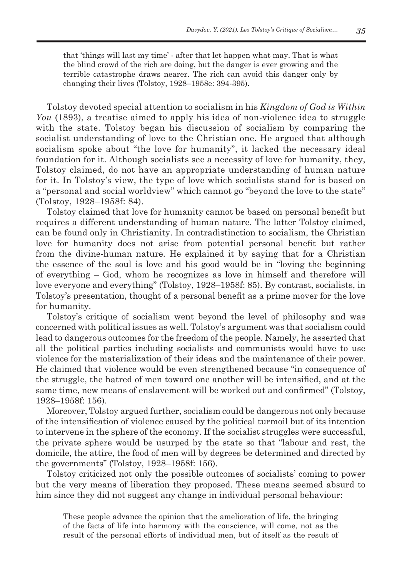that 'things will last my time' - after that let happen what may. That is what the blind crowd of the rich are doing, but the danger is ever growing and the terrible catastrophe draws nearer. The rich can avoid this danger only by changing their lives (Tolstoy, 1928–1958e: 394-395).

Tolstoy devoted special attention to socialism in his *Kingdom of God is Within You* (1893), a treatise aimed to apply his idea of non-violence idea to struggle with the state. Tolstoy began his discussion of socialism by comparing the socialist understanding of love to the Christian one. He argued that although socialism spoke about "the love for humanity", it lacked the necessary ideal foundation for it. Although socialists see a necessity of love for humanity, they, Tolstoy claimed, do not have an appropriate understanding of human nature for it. In Tolstoy's view, the type of love which socialists stand for is based on a "personal and social worldview" which cannot go "beyond the love to the state" (Tolstoy, 1928–1958f: 84).

Tolstoy claimed that love for humanity cannot be based on personal benefit but requires a different understanding of human nature. The latter Tolstoy claimed, can be found only in Christianity. In contradistinction to socialism, the Christian love for humanity does not arise from potential personal benefit but rather from the divine-human nature. He explained it by saying that for a Christian the essence of the soul is love and his good would be in "loving the beginning of everything – God, whom he recognizes as love in himself and therefore will love everyone and everything" (Tolstoy, 1928–1958f: 85). By contrast, socialists, in Tolstoy's presentation, thought of a personal benefit as a prime mover for the love for humanity.

Tolstoy's critique of socialism went beyond the level of philosophy and was concerned with political issues as well. Tolstoy's argument was that socialism could lead to dangerous outcomes for the freedom of the people. Namely, he asserted that all the political parties including socialists and communists would have to use violence for the materialization of their ideas and the maintenance of their power. He claimed that violence would be even strengthened because "in consequence of the struggle, the hatred of men toward one another will be intensified, and at the same time, new means of enslavement will be worked out and confirmed" (Tolstoy, 1928–1958f: 156).

Moreover, Tolstoy argued further, socialism could be dangerous not only because of the intensification of violence caused by the political turmoil but of its intention to intervene in the sphere of the economy. If the socialist struggles were successful, the private sphere would be usurped by the state so that "labour and rest, the domicile, the attire, the food of men will by degrees be determined and directed by the governments" (Tolstoy, 1928–1958f: 156).

Tolstoy criticized not only the possible outcomes of socialists' coming to power but the very means of liberation they proposed. These means seemed absurd to him since they did not suggest any change in individual personal behaviour:

These people advance the opinion that the amelioration of life, the bringing of the facts of life into harmony with the conscience, will come, not as the result of the personal efforts of individual men, but of itself as the result of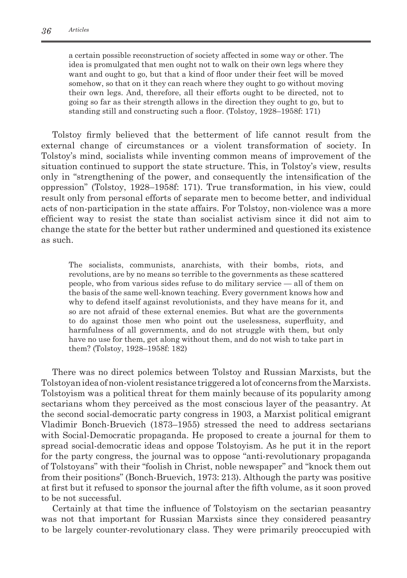a certain possible reconstruction of society affected in some way or other. The idea is promulgated that men ought not to walk on their own legs where they want and ought to go, but that a kind of floor under their feet will be moved somehow, so that on it they can reach where they ought to go without moving their own legs. And, therefore, all their efforts ought to be directed, not to going so far as their strength allows in the direction they ought to go, but to standing still and constructing such a floor. (Tolstoy, 1928–1958f: 171)

Tolstoy firmly believed that the betterment of life cannot result from the external change of circumstances or a violent transformation of society. In Tolstoy's mind, socialists while inventing common means of improvement of the situation continued to support the state structure. This, in Tolstoy's view, results only in "strengthening of the power, and consequently the intensification of the oppression" (Tolstoy, 1928–1958f: 171). True transformation, in his view, could result only from personal efforts of separate men to become better, and individual acts of non-participation in the state affairs. For Tolstoy, non-violence was a more efficient way to resist the state than socialist activism since it did not aim to change the state for the better but rather undermined and questioned its existence as such.

The socialists, communists, anarchists, with their bombs, riots, and revolutions, are by no means so terrible to the governments as these scattered people, who from various sides refuse to do military service — all of them on the basis of the same well-known teaching. Every government knows how and why to defend itself against revolutionists, and they have means for it, and so are not afraid of these external enemies. But what are the governments to do against those men who point out the uselessness, superfluity, and harmfulness of all governments, and do not struggle with them, but only have no use for them, get along without them, and do not wish to take part in them? (Tolstoy, 1928–1958f: 182)

There was no direct polemics between Tolstoy and Russian Marxists, but the Tolstoyan idea of non-violent resistance triggered alot of concerns from the Marxists. Tolstoyism was a political threat for them mainly because of its popularity among sectarians whom they perceived as the most conscious layer of the peasantry. At the second social-democratic party congress in 1903, a Marxist political emigrant Vladimir Bonch-Bruevich (1873–1955) stressed the need to address sectarians with Social-Democratic propaganda. He proposed to create a journal for them to spread social-democratic ideas and oppose Tolstoyism. As he put it in the report for the party congress, the journal was to oppose "anti-revolutionary propaganda of Tolstoyans" with their "foolish in Christ, noble newspaper" and "knock them out from their positions" (Bonch-Bruevich, 1973: 213). Although the party was positive at first but it refused to sponsor the journal after the fifth volume, as it soon proved to be not successful.

Certainly at that time the influence of Tolstoyism on the sectarian peasantry was not that important for Russian Marxists since they considered peasantry to be largely counter-revolutionary class. They were primarily preoccupied with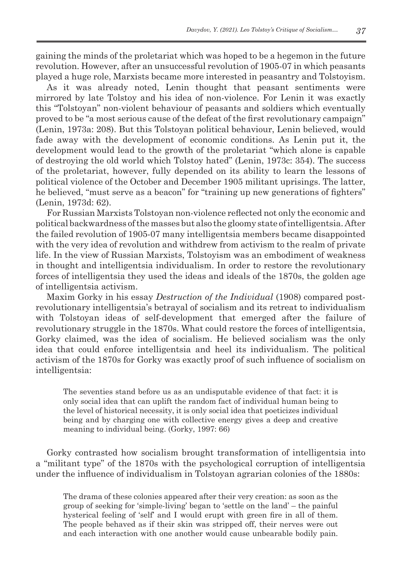gaining the minds of the proletariat which was hoped to be a hegemon in the future revolution. However, after an unsuccessful revolution of 1905-07 in which peasants played a huge role, Marxists became more interested in peasantry and Tolstoyism.

As it was already noted, Lenin thought that peasant sentiments were mirrored by late Tolstoy and his idea of non-violence. For Lenin it was exactly this "Tolstoyan" non-violent behaviour of peasants and soldiers which eventually proved to be "a most serious cause of the defeat of the first revolutionary campaign" (Lenin, 1973a: 208). But this Tolstoyan political behaviour, Lenin believed, would fade away with the development of economic conditions. As Lenin put it, the development would lead to the growth of the proletariat "which alone is capable of destroying the old world which Tolstoy hated" (Lenin, 1973c: 354). The success of the proletariat, however, fully depended on its ability to learn the lessons of political violence of the October and December 1905 militant uprisings. The latter, he believed, "must serve as a beacon" for "training up new generations of fighters" (Lenin, 1973d: 62).

For Russian Marxists Tolstoyan non-violence reflected not only the economic and political backwardness of the masses but also the gloomy state of intelligentsia. After the failed revolution of 1905-07 many intelligentsia members became disappointed with the very idea of revolution and withdrew from activism to the realm of private life. In the view of Russian Marxists, Tolstoyism was an embodiment of weakness in thought and intelligentsia individualism. In order to restore the revolutionary forces of intelligentsia they used the ideas and ideals of the 1870s, the golden age of intelligentsia activism.

Maxim Gorky in his essay *Destruction of the Individual* (1908) compared postrevolutionary intelligentsia's betrayal of socialism and its retreat to individualism with Tolstoyan ideas of self-development that emerged after the failure of revolutionary struggle in the 1870s. What could restore the forces of intelligentsia, Gorky claimed, was the idea of socialism. He believed socialism was the only idea that could enforce intelligentsia and heel its individualism. The political activism of the 1870s for Gorky was exactly proof of such influence of socialism on intelligentsia:

The seventies stand before us as an undisputable evidence of that fact: it is only social idea that can uplift the random fact of individual human being to the level of historical necessity, it is only social idea that poeticizes individual being and by charging one with collective energy gives a deep and creative meaning to individual being. (Gorky, 1997: 66)

Gorky contrasted how socialism brought transformation of intelligentsia into a "militant type" of the 1870s with the psychological corruption of intelligentsia under the influence of individualism in Tolstoyan agrarian colonies of the 1880s:

The drama of these colonies appeared after their very creation: as soon as the group of seeking for 'simple-living' began to 'settle on the land' – the painful hysterical feeling of 'self' and I would erupt with green fire in all of them. The people behaved as if their skin was stripped off, their nerves were out and each interaction with one another would cause unbearable bodily pain.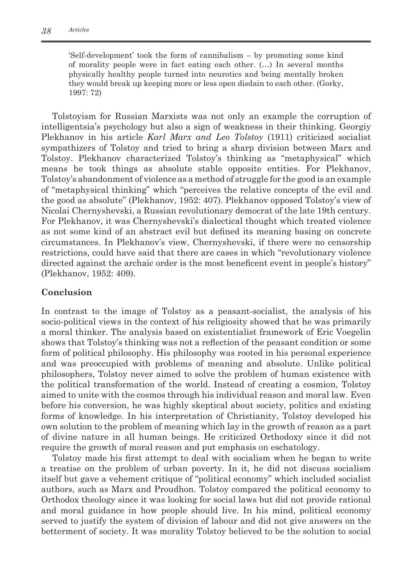'Self-development' took the form of cannibalism – by promoting some kind of morality people were in fact eating each other. (…) In several months physically healthy people turned into neurotics and being mentally broken they would break up keeping more or less open disdain to each other. (Gorky, 1997: 72)

Tolstoyism for Russian Marxists was not only an example the corruption of intelligentsia's psychology but also a sign of weakness in their thinking. Georgiy Plekhanov in his article *Karl Marx and Leo Tolstoy* (1911) criticized socialist sympathizers of Tolstoy and tried to bring a sharp division between Marx and Tolstoy. Plekhanov characterized Tolstoy's thinking as "metaphysical" which means he took things as absolute stable opposite entities. For Plekhanov, Tolstoy's abandonment of violence as a method of struggle for the good is an example of "metaphysical thinking" which "perceives the relative concepts of the evil and the good as absolute" (Plekhanov, 1952: 407). Plekhanov opposed Tolstoy's view of Nicolai Chernyshevski, a Russian revolutionary democrat of the late 19th century. For Plekhanov, it was Chernyshevski's dialectical thought which treated violence as not some kind of an abstract evil but defined its meaning basing on concrete circumstances. In Plekhanov's view, Chernyshevski, if there were no censorship restrictions, could have said that there are cases in which "revolutionary violence directed against the archaic order is the most beneficent event in people's history" (Plekhanov, 1952: 409).

## **Conclusion**

In contrast to the image of Tolstoy as a peasant-socialist, the analysis of his socio-political views in the context of his religiosity showed that he was primarily a moral thinker. The analysis based on existentialist framework of Eric Voegelin shows that Tolstoy's thinking was not a reflection of the peasant condition or some form of political philosophy. His philosophy was rooted in his personal experience and was preoccupied with problems of meaning and absolute. Unlike political philosophers, Tolstoy never aimed to solve the problem of human existence with the political transformation of the world. Instead of creating a cosmion, Tolstoy aimed to unite with the cosmos through his individual reason and moral law. Even before his conversion, he was highly skeptical about society, politics and existing forms of knowledge. In his interpretation of Christianity, Tolstoy developed his own solution to the problem of meaning which lay in the growth of reason as a part of divine nature in all human beings. He criticized Orthodoxy since it did not require the growth of moral reason and put emphasis on eschatology.

Tolstoy made his first attempt to deal with socialism when he began to write a treatise on the problem of urban poverty. In it, he did not discuss socialism itself but gave a vehement critique of "political economy" which included socialist authors, such as Marx and Proudhon. Tolstoy compared the political economy to Orthodox theology since it was looking for social laws but did not provide rational and moral guidance in how people should live. In his mind, political economy served to justify the system of division of labour and did not give answers on the betterment of society. It was morality Tolstoy believed to be the solution to social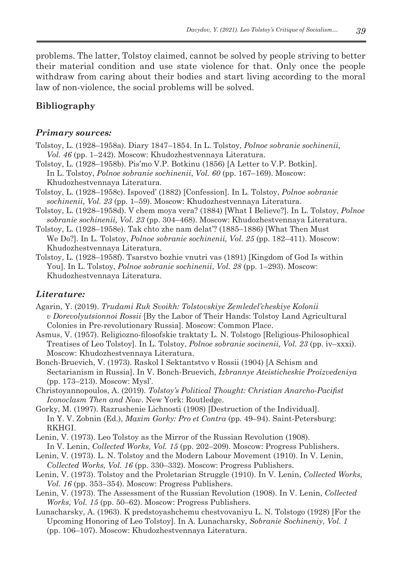problems. The latter, Tolstoy claimed, cannot be solved by people striving to better their material condition and use state violence for that. Only once the people withdraw from caring about their bodies and start living according to the moral law of non-violence, the social problems will be solved.

# **Bibliography**

#### *Primary sources:*

- Tolstoy, L. (1928–1958a). Diary 1847–1854. In L. Tolstoy, *Polnoe sobranie sochinenii, Vol. 46* (pp. 1–242). Moscow: Khudozhestvennaya Literatura.
- Tolstoy, L. (1928–1958b). Pis'mo V.P. Botkinu (1856) [A Letter to V.P. Botkin]. In L. Tolstoy, *Polnoe sobranie sochinenii*, *Vol. 60* (pp. 167–169). Moscow: Khudozhestvennaya Literatura.
- Tolstoy, L. (1928–1958c). Ispoved' (1882) [Confession]. In L. Tolstoy, *Polnoe sobranie sochinenii, Vol. 23* (pp. 1–59). Moscow: Khudozhestvennaya Literatura.
- Tolstoy, L. (1928–1958d). V chem moya vera? (1884) [What I Believe?]. In L. Tolstoy, *Polnoe sobranie sochinenii, Vol. 23* (pp. 304–468). Moscow: Khudozhestvennaya Literatura.
- Tolstoy, L. (1928–1958e). Tak chto zhe nam delat'? (1885–1886) [What Then Must We Do?]. In L. Tolstoy, *Polnoe sobranie sochinenii, Vol. 25* (pp. 182–411). Moscow: Khudozhestvennaya Literatura.
- Tolstoy, L. (1928–1958f). Tsarstvo bozhie vnutri vas (1891) [Kingdom of God Is within You]. In L. Tolstoy, *Polnoe sobranie sochinenii*, *Vol. 28* (pp. 1–293). Moscow: Khudozhestvennaya Literatura.

## *Literature:*

- Agarin, Y. (2019). *Trudami Ruk Svoikh: Tolstovskiye Zemledel'cheskiye Kolonii v Dorevolyutsionnoi Rossii* [By the Labor of Their Hands: Tolstoy Land Agricultural Colonies in Pre-revolutionary Russia]. Мoscow: Common Place.
- Asmus, V. (1957). Religiozno-filosofskie traktaty L. N. Tolstogo [Religious-Philosophical Treatises of Leo Tolstoy]. In L. Tolstoy, *Polnoe sobranie socinenii, Vol. 23* (pp. iv–xxxi). Moscow: Khudozhestvennaya Literatura.
- Bonch-Bruevich, V. (1973). Raskol I Sektantstvo v Rossii (1904) [A Schism and Sectarianism in Russia]. In V. Bonch-Bruevich, *Izbrannye Ateisticheskie Proizvedeniya* (pp. 173–213). Moscow: Mysl'.
- Christoyannopoulos, A. (2019). *Tolstoy's Political Thought: Christian Anarcho-Pacifist Iconoclasm Then and Now.* New York: Routledge.
- Gorky, M. (1997). Razrushenie Lichnosti (1908) [Destruction of the Individual]. In Y. V. Zobnin (Ed.), *Maxim Gorky: Pro et Contra* (pp. 49–94). Saint-Petersburg: **RKHGI**
- Lenin, V. (1973). Leo Tolstoy as the Mirror of the Russian Revolution (1908). In V. Lenin, *Collected Works, Vol. 15* (pp. 202–209). Moscow: Progress Publishers.
- Lenin, V. (1973). L. N. Tolstoy and the Modern Labour Movement (1910). In V. Lenin, *Collected Works, Vol. 16* (pp. 330–332). Moscow: Progress Publishers.
- Lenin, V. (1973). Tolstoy and the Proletarian Struggle (1910). In V. Lenin, *Collected Works, Vol. 16* (pp. 353–354). Moscow: Progress Publishers.
- Lenin, V. (1973). The Assessment of the Russian Revolution (1908). In V. Lenin, *Collected Works, Vol. 15* (pp. 50–62). Moscow: Progress Publishers.
- Lunacharsky, A. (1963). K predstoyashchemu chestvovaniyu L. N. Tolstogo (1928) [For the Upcoming Honoring of Leo Tolstoy]. In A. Lunacharsky, *Sobranie Sochineniy*, *Vol. 1* (pp. 106–107). Moscow: Khudozhestvennaya Literatura.